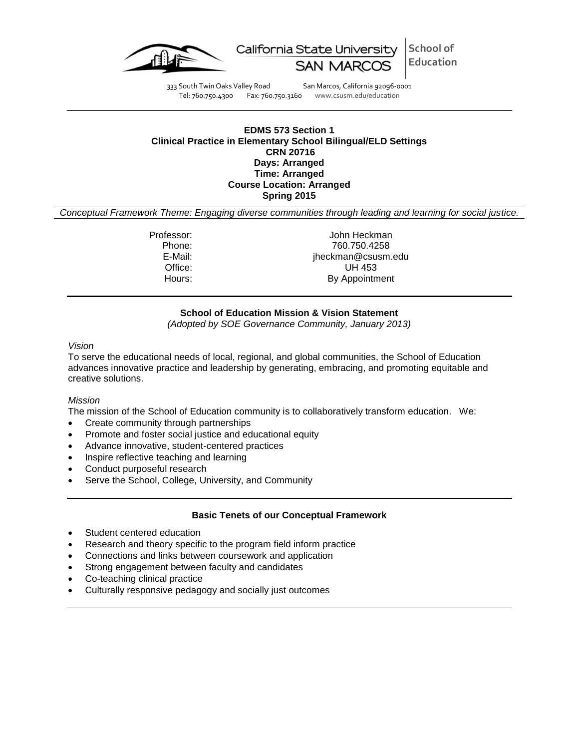

School of California State University Education

333 South Twin Oaks Valley Road San Marcos, California 92096-0001<br>Tel: 760.750.4300 Fax: 760.750.3160 www.csusm.edu/education www.csusm.edu/education

### **EDMS 573 Section 1 Clinical Practice in Elementary School Bilingual/ELD Settings CRN 20716 Days: Arranged Time: Arranged Course Location: Arranged Spring 2015**

*Conceptual Framework Theme: Engaging diverse communities through leading and learning for social justice.*

Professor: John Heckman Phone: 760.750.4258 E-Mail: jheckman@csusm.edu Office: UH 453 Hours: By Appointment

# **School of Education Mission & Vision Statement**

*(Adopted by SOE Governance Community, January 2013)*

#### *Vision*

To serve the educational needs of local, regional, and global communities, the School of Education advances innovative practice and leadership by generating, embracing, and promoting equitable and creative solutions.

### *Mission*

The mission of the School of Education community is to collaboratively transform education. We:

- Create community through partnerships
- Promote and foster social justice and educational equity
- Advance innovative, student-centered practices
- Inspire reflective teaching and learning
- Conduct purposeful research
- Serve the School, College, University, and Community

### **Basic Tenets of our Conceptual Framework**

- Student centered education
- Research and theory specific to the program field inform practice
- Connections and links between coursework and application
- Strong engagement between faculty and candidates
- Co-teaching clinical practice
- Culturally responsive pedagogy and socially just outcomes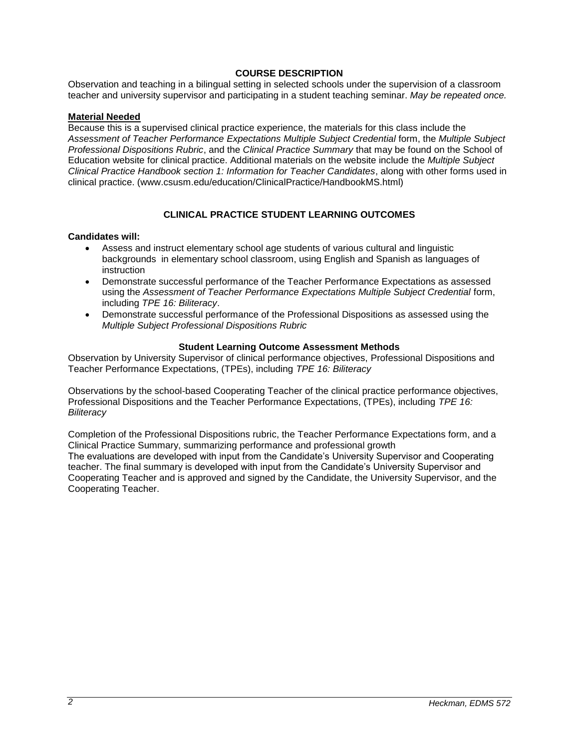# **COURSE DESCRIPTION**

Observation and teaching in a bilingual setting in selected schools under the supervision of a classroom teacher and university supervisor and participating in a student teaching seminar. *May be repeated once.*

### **Material Needed**

Because this is a supervised clinical practice experience, the materials for this class include the *Assessment of Teacher Performance Expectations Multiple Subject Credential* form, the *Multiple Subject Professional Dispositions Rubric*, and the *Clinical Practice Summary* that may be found on the School of Education website for clinical practice. Additional materials on the website include the *Multiple Subject Clinical Practice Handbook section 1: Information for Teacher Candidates*, along with other forms used in clinical practice. (www.csusm.edu/education/ClinicalPractice/HandbookMS.html)

### **CLINICAL PRACTICE STUDENT LEARNING OUTCOMES**

#### **Candidates will:**

- Assess and instruct elementary school age students of various cultural and linguistic backgrounds in elementary school classroom, using English and Spanish as languages of **instruction**
- Demonstrate successful performance of the Teacher Performance Expectations as assessed using the Assessment of Teacher Performance Expectations Multiple Subject Credential form, including *TPE 16: Biliteracy*.
- Demonstrate successful performance of the Professional Dispositions as assessed using the *Multiple Subject Professional Dispositions Rubric*

#### **Student Learning Outcome Assessment Methods**

Observation by University Supervisor of clinical performance objectives, Professional Dispositions and Teacher Performance Expectations, (TPEs), including *TPE 16: Biliteracy*

Observations by the school-based Cooperating Teacher of the clinical practice performance objectives, Professional Dispositions and the Teacher Performance Expectations, (TPEs), including *TPE 16: Biliteracy*

Completion of the Professional Dispositions rubric, the Teacher Performance Expectations form, and a Clinical Practice Summary, summarizing performance and professional growth The evaluations are developed with input from the Candidate's University Supervisor and Cooperating teacher. The final summary is developed with input from the Candidate's University Supervisor and Cooperating Teacher and is approved and signed by the Candidate, the University Supervisor, and the Cooperating Teacher.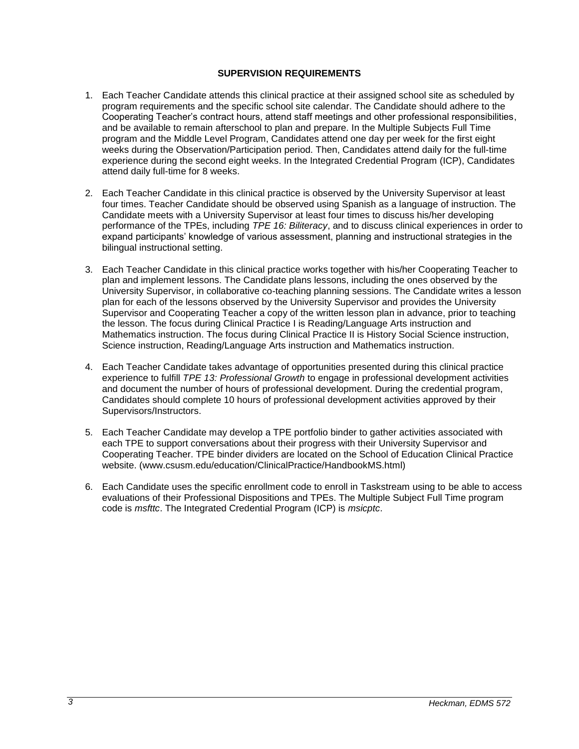# **SUPERVISION REQUIREMENTS**

- 1. Each Teacher Candidate attends this clinical practice at their assigned school site as scheduled by program requirements and the specific school site calendar. The Candidate should adhere to the Cooperating Teacher's contract hours, attend staff meetings and other professional responsibilities, and be available to remain afterschool to plan and prepare. In the Multiple Subjects Full Time program and the Middle Level Program, Candidates attend one day per week for the first eight weeks during the Observation/Participation period. Then, Candidates attend daily for the full-time experience during the second eight weeks. In the Integrated Credential Program (ICP), Candidates attend daily full-time for 8 weeks.
- 2. Each Teacher Candidate in this clinical practice is observed by the University Supervisor at least four times. Teacher Candidate should be observed using Spanish as a language of instruction. The Candidate meets with a University Supervisor at least four times to discuss his/her developing performance of the TPEs, including *TPE 16: Biliteracy*, and to discuss clinical experiences in order to expand participants' knowledge of various assessment, planning and instructional strategies in the bilingual instructional setting.
- 3. Each Teacher Candidate in this clinical practice works together with his/her Cooperating Teacher to plan and implement lessons. The Candidate plans lessons, including the ones observed by the University Supervisor, in collaborative co-teaching planning sessions. The Candidate writes a lesson plan for each of the lessons observed by the University Supervisor and provides the University Supervisor and Cooperating Teacher a copy of the written lesson plan in advance, prior to teaching the lesson. The focus during Clinical Practice I is Reading/Language Arts instruction and Mathematics instruction. The focus during Clinical Practice II is History Social Science instruction, Science instruction, Reading/Language Arts instruction and Mathematics instruction.
- 4. Each Teacher Candidate takes advantage of opportunities presented during this clinical practice experience to fulfill *TPE 13: Professional Growth* to engage in professional development activities and document the number of hours of professional development. During the credential program, Candidates should complete 10 hours of professional development activities approved by their Supervisors/Instructors.
- 5. Each Teacher Candidate may develop a TPE portfolio binder to gather activities associated with each TPE to support conversations about their progress with their University Supervisor and Cooperating Teacher. TPE binder dividers are located on the School of Education Clinical Practice website. (www.csusm.edu/education/ClinicalPractice/HandbookMS.html)
- 6. Each Candidate uses the specific enrollment code to enroll in Taskstream using to be able to access evaluations of their Professional Dispositions and TPEs. The Multiple Subject Full Time program code is *msfttc*. The Integrated Credential Program (ICP) is *msicptc*.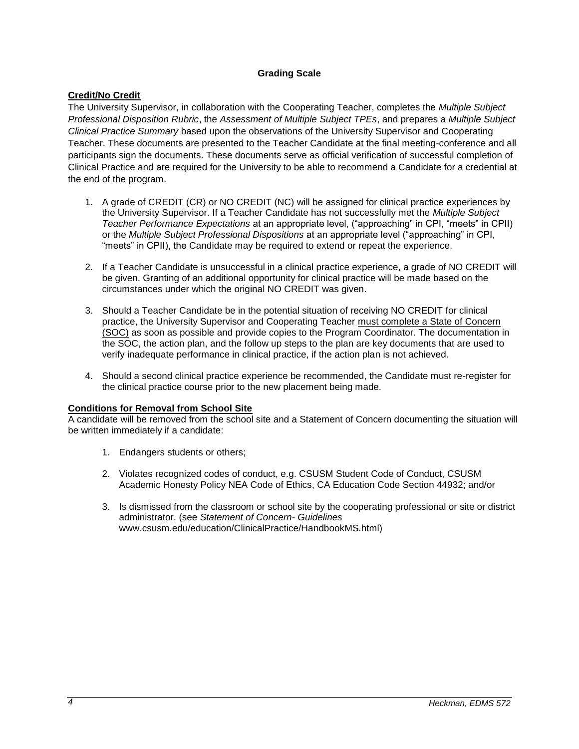# **Grading Scale**

# **Credit/No Credit**

The University Supervisor, in collaboration with the Cooperating Teacher, completes the *Multiple Subject Professional Disposition Rubric*, the *Assessment of Multiple Subject TPEs*, and prepares a *Multiple Subject Clinical Practice Summary* based upon the observations of the University Supervisor and Cooperating Teacher. These documents are presented to the Teacher Candidate at the final meeting-conference and all participants sign the documents. These documents serve as official verification of successful completion of Clinical Practice and are required for the University to be able to recommend a Candidate for a credential at the end of the program.

- 1. A grade of CREDIT (CR) or NO CREDIT (NC) will be assigned for clinical practice experiences by the University Supervisor. If a Teacher Candidate has not successfully met the *Multiple Subject Teacher Performance Expectations* at an appropriate level, ("approaching" in CPI, "meets" in CPII) or the *Multiple Subject Professional Dispositions* at an appropriate level ("approaching" in CPI, "meets" in CPII), the Candidate may be required to extend or repeat the experience.
- 2. If a Teacher Candidate is unsuccessful in a clinical practice experience, a grade of NO CREDIT will be given. Granting of an additional opportunity for clinical practice will be made based on the circumstances under which the original NO CREDIT was given.
- 3. Should a Teacher Candidate be in the potential situation of receiving NO CREDIT for clinical practice, the University Supervisor and Cooperating Teacher must complete a State of Concern (SOC) as soon as possible and provide copies to the Program Coordinator. The documentation in the SOC, the action plan, and the follow up steps to the plan are key documents that are used to verify inadequate performance in clinical practice, if the action plan is not achieved.
- 4. Should a second clinical practice experience be recommended, the Candidate must re-register for the clinical practice course prior to the new placement being made.

### **Conditions for Removal from School Site**

A candidate will be removed from the school site and a Statement of Concern documenting the situation will be written immediately if a candidate:

- 1. Endangers students or others;
- 2. Violates recognized codes of conduct, e.g. CSUSM Student Code of Conduct, CSUSM Academic Honesty Policy NEA Code of Ethics, CA Education Code Section 44932; and/or
- 3. Is dismissed from the classroom or school site by the cooperating professional or site or district administrator. (see *Statement of Concern- Guidelines* www.csusm.edu/education/ClinicalPractice/HandbookMS.html)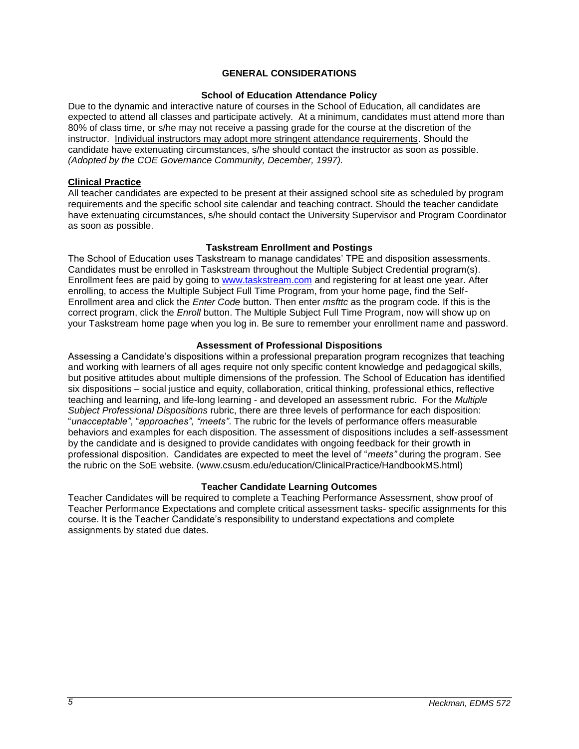## **GENERAL CONSIDERATIONS**

### **School of Education Attendance Policy**

Due to the dynamic and interactive nature of courses in the School of Education, all candidates are expected to attend all classes and participate actively. At a minimum, candidates must attend more than 80% of class time, or s/he may not receive a passing grade for the course at the discretion of the instructor. Individual instructors may adopt more stringent attendance requirements. Should the candidate have extenuating circumstances, s/he should contact the instructor as soon as possible. *(Adopted by the COE Governance Community, December, 1997).*

### **Clinical Practice**

All teacher candidates are expected to be present at their assigned school site as scheduled by program requirements and the specific school site calendar and teaching contract. Should the teacher candidate have extenuating circumstances, s/he should contact the University Supervisor and Program Coordinator as soon as possible.

### **Taskstream Enrollment and Postings**

The School of Education uses Taskstream to manage candidates' TPE and disposition assessments. Candidates must be enrolled in Taskstream throughout the Multiple Subject Credential program(s). Enrollment fees are paid by going to [www.taskstream.com](http://www.taskstrem.com/) and registering for at least one year. After enrolling, to access the Multiple Subject Full Time Program, from your home page, find the Self-Enrollment area and click the *Enter Code* button. Then enter *msfttc* as the program code. If this is the correct program, click the *Enroll* button. The Multiple Subject Full Time Program, now will show up on your Taskstream home page when you log in. Be sure to remember your enrollment name and password.

### **Assessment of Professional Dispositions**

Assessing a Candidate's dispositions within a professional preparation program recognizes that teaching and working with learners of all ages require not only specific content knowledge and pedagogical skills, but positive attitudes about multiple dimensions of the profession. The School of Education has identified six dispositions – social justice and equity, collaboration, critical thinking, professional ethics, reflective teaching and learning, and life-long learning - and developed an assessment rubric. For the *Multiple Subject Professional Dispositions* rubric, there are three levels of performance for each disposition: "*unacceptable"*, "*approaches", "meets"*. The rubric for the levels of performance offers measurable behaviors and examples for each disposition. The assessment of dispositions includes a self-assessment by the candidate and is designed to provide candidates with ongoing feedback for their growth in professional disposition. Candidates are expected to meet the level of "*meets"* during the program. See the rubric on the SoE website. (www.csusm.edu/education/ClinicalPractice/HandbookMS.html)

### **Teacher Candidate Learning Outcomes**

Teacher Candidates will be required to complete a Teaching Performance Assessment, show proof of Teacher Performance Expectations and complete critical assessment tasks- specific assignments for this course. It is the Teacher Candidate's responsibility to understand expectations and complete assignments by stated due dates.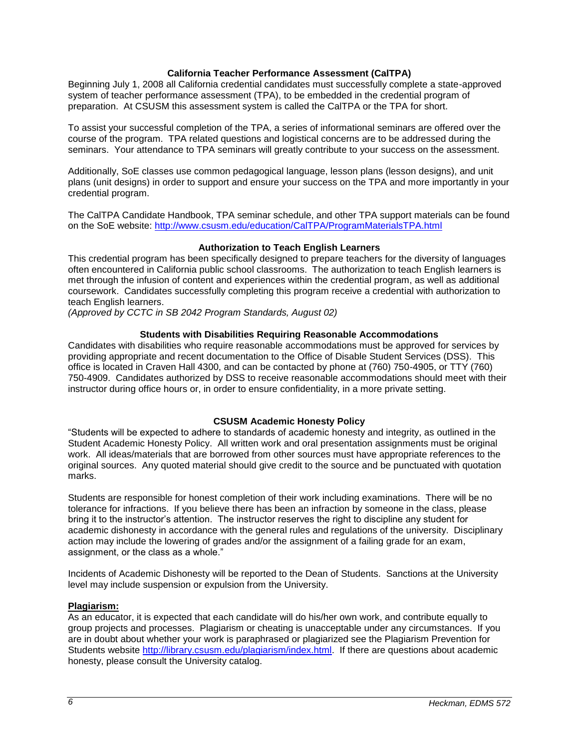## **California Teacher Performance Assessment (CalTPA)**

Beginning July 1, 2008 all California credential candidates must successfully complete a state-approved system of teacher performance assessment (TPA), to be embedded in the credential program of preparation. At CSUSM this assessment system is called the CalTPA or the TPA for short.

To assist your successful completion of the TPA, a series of informational seminars are offered over the course of the program. TPA related questions and logistical concerns are to be addressed during the seminars. Your attendance to TPA seminars will greatly contribute to your success on the assessment.

Additionally, SoE classes use common pedagogical language, lesson plans (lesson designs), and unit plans (unit designs) in order to support and ensure your success on the TPA and more importantly in your credential program.

The CalTPA Candidate Handbook, TPA seminar schedule, and other TPA support materials can be found on the SoE website:<http://www.csusm.edu/education/CalTPA/ProgramMaterialsTPA.html>

### **Authorization to Teach English Learners**

This credential program has been specifically designed to prepare teachers for the diversity of languages often encountered in California public school classrooms. The authorization to teach English learners is met through the infusion of content and experiences within the credential program, as well as additional coursework. Candidates successfully completing this program receive a credential with authorization to teach English learners.

*(Approved by CCTC in SB 2042 Program Standards, August 02)*

### **Students with Disabilities Requiring Reasonable Accommodations**

Candidates with disabilities who require reasonable accommodations must be approved for services by providing appropriate and recent documentation to the Office of Disable Student Services (DSS). This office is located in Craven Hall 4300, and can be contacted by phone at (760) 750-4905, or TTY (760) 750-4909. Candidates authorized by DSS to receive reasonable accommodations should meet with their instructor during office hours or, in order to ensure confidentiality, in a more private setting.

### **CSUSM Academic Honesty Policy**

"Students will be expected to adhere to standards of academic honesty and integrity, as outlined in the Student Academic Honesty Policy. All written work and oral presentation assignments must be original work. All ideas/materials that are borrowed from other sources must have appropriate references to the original sources. Any quoted material should give credit to the source and be punctuated with quotation marks.

Students are responsible for honest completion of their work including examinations. There will be no tolerance for infractions. If you believe there has been an infraction by someone in the class, please bring it to the instructor's attention. The instructor reserves the right to discipline any student for academic dishonesty in accordance with the general rules and regulations of the university. Disciplinary action may include the lowering of grades and/or the assignment of a failing grade for an exam, assignment, or the class as a whole."

Incidents of Academic Dishonesty will be reported to the Dean of Students. Sanctions at the University level may include suspension or expulsion from the University.

### **Plagiarism:**

As an educator, it is expected that each candidate will do his/her own work, and contribute equally to group projects and processes. Plagiarism or cheating is unacceptable under any circumstances. If you are in doubt about whether your work is paraphrased or plagiarized see the Plagiarism Prevention for Students website [http://library.csusm.edu/plagiarism/index.html.](http://library.csusm.edu/plagiarism/index.html) If there are questions about academic honesty, please consult the University catalog.